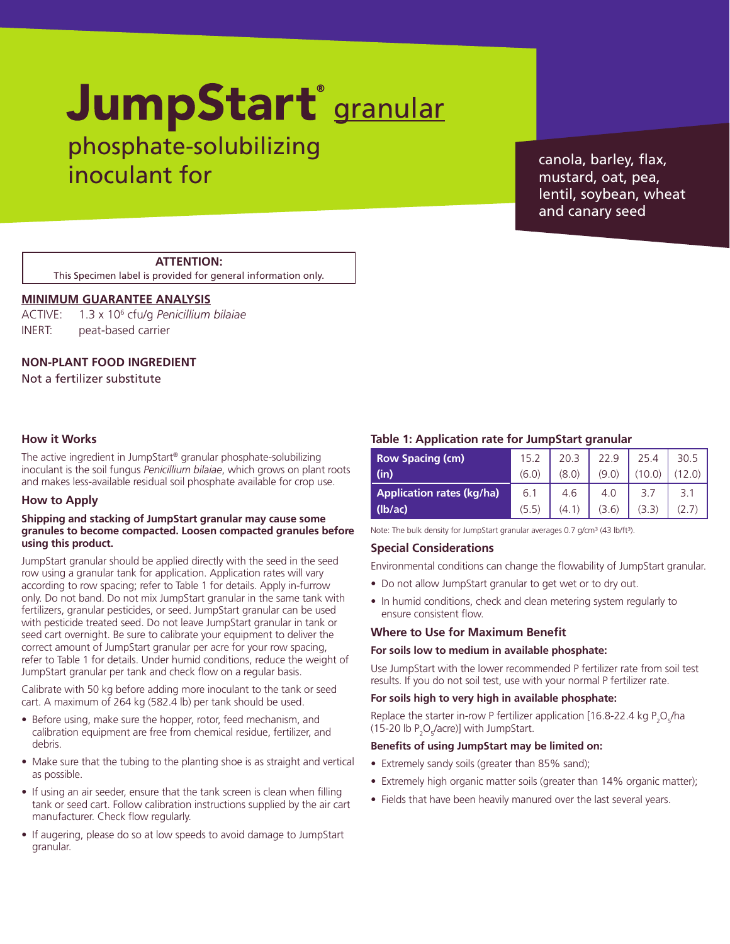# JumpStart<sup>®</sup> granular

phosphate-solubilizing inoculant for

canola, barley, flax, mustard, oat, pea, lentil, soybean, wheat and canary seed

# **ATTENTION:**

This Specimen label is provided for general information only.

# **MINIMUM GUARANTEE ANALYSIS**

ACTIVE: 1.3 x 106 cfu/g *Penicillium bilaiae* INERT: peat-based carrier

# **NON-PLANT FOOD INGREDIENT**

Not a fertilizer substitute

# **How it Works**

The active ingredient in JumpStart® granular phosphate-solubilizing inoculant is the soil fungus *Penicillium bilaiae*, which grows on plant roots and makes less-available residual soil phosphate available for crop use.

#### **How to Apply**

#### **Shipping and stacking of JumpStart granular may cause some granules to become compacted. Loosen compacted granules before using this product.**

JumpStart granular should be applied directly with the seed in the seed row using a granular tank for application. Application rates will vary according to row spacing; refer to Table 1 for details. Apply in-furrow only. Do not band. Do not mix JumpStart granular in the same tank with fertilizers, granular pesticides, or seed. JumpStart granular can be used with pesticide treated seed. Do not leave JumpStart granular in tank or seed cart overnight. Be sure to calibrate your equipment to deliver the correct amount of JumpStart granular per acre for your row spacing, refer to Table 1 for details. Under humid conditions, reduce the weight of JumpStart granular per tank and check flow on a regular basis.

Calibrate with 50 kg before adding more inoculant to the tank or seed cart. A maximum of 264 kg (582.4 lb) per tank should be used.

- Before using, make sure the hopper, rotor, feed mechanism, and calibration equipment are free from chemical residue, fertilizer, and debris.
- Make sure that the tubing to the planting shoe is as straight and vertical as possible.
- If using an air seeder, ensure that the tank screen is clean when filling tank or seed cart. Follow calibration instructions supplied by the air cart manufacturer. Check flow regularly.
- If augering, please do so at low speeds to avoid damage to JumpStart granular.

#### **Table 1: Application rate for JumpStart granular**

| <b>Row Spacing (cm)</b>          | 15.2  | 20.3  | 22.9  | 25.4   | 30.5 |
|----------------------------------|-------|-------|-------|--------|------|
| (in)                             | (6.0) | (8.0) | (9.0) | (10.0) |      |
| <b>Application rates (kg/ha)</b> | 6.1   | 4.6   | 4.0   | 3.7    | 3.1  |
| (lb/ac)                          | (5.5) | (4.1) | (3.6) | (3.3)  |      |

Note: The bulk density for JumpStart granular averages 0.7 g/cm3 (43 lb/ft3).

# **Special Considerations**

Environmental conditions can change the flowability of JumpStart granular.

- Do not allow JumpStart granular to get wet or to dry out.
- In humid conditions, check and clean metering system regularly to ensure consistent flow.

#### **Where to Use for Maximum Benefit**

#### **For soils low to medium in available phosphate:**

Use JumpStart with the lower recommended P fertilizer rate from soil test results. If you do not soil test, use with your normal P fertilizer rate.

#### **For soils high to very high in available phosphate:**

Replace the starter in-row P fertilizer application [16.8-22.4 kg  $P_2O_f/ha$ (15-20 lb  $P_2O_5$ /acre)] with JumpStart.

#### **Benefits of using JumpStart may be limited on:**

- Extremely sandy soils (greater than 85% sand);
- Extremely high organic matter soils (greater than 14% organic matter);
- Fields that have been heavily manured over the last several years.